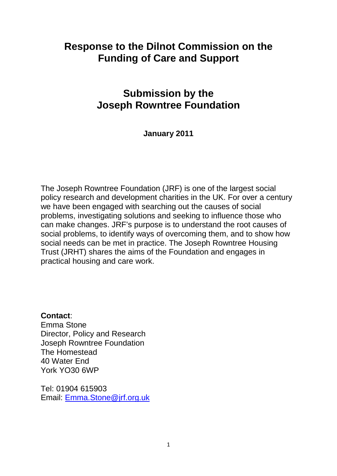# **Response to the Dilnot Commission on the Funding of Care and Support**

# **Submission by the Joseph Rowntree Foundation**

### **January 2011**

The Joseph Rowntree Foundation (JRF) is one of the largest social policy research and development charities in the UK. For over a century we have been engaged with searching out the causes of social problems, investigating solutions and seeking to influence those who can make changes. JRF's purpose is to understand the root causes of social problems, to identify ways of overcoming them, and to show how social needs can be met in practice. The Joseph Rowntree Housing Trust (JRHT) shares the aims of the Foundation and engages in practical housing and care work.

**Contact**:

Emma Stone Director, Policy and Research Joseph Rowntree Foundation The Homestead 40 Water End York YO30 6WP

Tel: 01904 615903 Email: [Emma.Stone@jrf.org.uk](mailto:Emma.Stone@jrf.org.uk)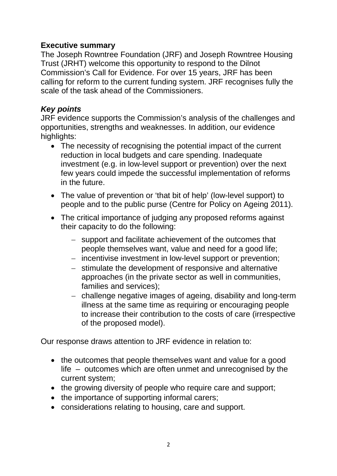### **Executive summary**

The Joseph Rowntree Foundation (JRF) and Joseph Rowntree Housing Trust (JRHT) welcome this opportunity to respond to the Dilnot Commission's Call for Evidence. For over 15 years, JRF has been calling for reform to the current funding system. JRF recognises fully the scale of the task ahead of the Commissioners.

### *Key points*

JRF evidence supports the Commission's analysis of the challenges and opportunities, strengths and weaknesses. In addition, our evidence highlights:

- The necessity of recognising the potential impact of the current reduction in local budgets and care spending. Inadequate investment (e.g. in low-level support or prevention) over the next few years could impede the successful implementation of reforms in the future.
- The value of prevention or 'that bit of help' (low-level support) to people and to the public purse (Centre for Policy on Ageing 2011).
- The critical importance of judging any proposed reforms against their capacity to do the following:
	- − support and facilitate achievement of the outcomes that people themselves want, value and need for a good life;
	- − incentivise investment in low-level support or prevention;
	- − stimulate the development of responsive and alternative approaches (in the private sector as well in communities, families and services);
	- − challenge negative images of ageing, disability and long-term illness at the same time as requiring or encouraging people to increase their contribution to the costs of care (irrespective of the proposed model).

Our response draws attention to JRF evidence in relation to:

- the outcomes that people themselves want and value for a good life – outcomes which are often unmet and unrecognised by the current system;
- the growing diversity of people who require care and support;
- the importance of supporting informal carers;
- considerations relating to housing, care and support.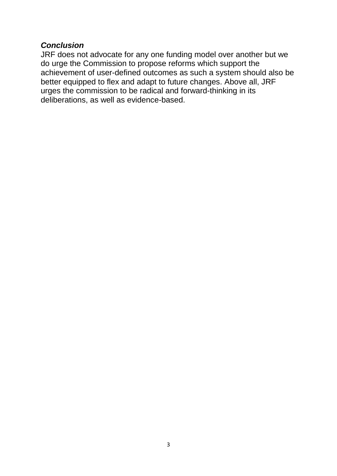#### *Conclusion*

JRF does not advocate for any one funding model over another but we do urge the Commission to propose reforms which support the achievement of user-defined outcomes as such a system should also be better equipped to flex and adapt to future changes. Above all, JRF urges the commission to be radical and forward-thinking in its deliberations, as well as evidence-based.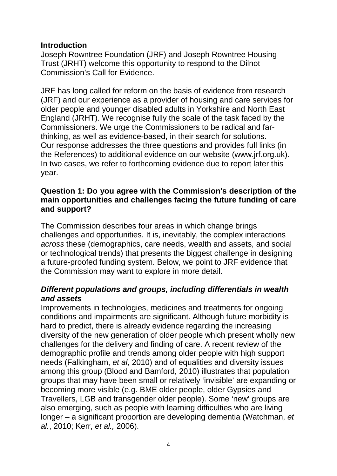### **Introduction**

Joseph Rowntree Foundation (JRF) and Joseph Rowntree Housing Trust (JRHT) welcome this opportunity to respond to the Dilnot Commission's Call for Evidence.

JRF has long called for reform on the basis of evidence from research (JRF) and our experience as a provider of housing and care services for older people and younger disabled adults in Yorkshire and North East England (JRHT). We recognise fully the scale of the task faced by the Commissioners. We urge the Commissioners to be radical and farthinking, as well as evidence-based, in their search for solutions. Our response addresses the three questions and provides full links (in the References) to additional evidence on our website [\(www.jrf.org.uk\)](http://www.jrf.org.uk/). In two cases, we refer to forthcoming evidence due to report later this year.

### **Question 1: Do you agree with the Commission's description of the main opportunities and challenges facing the future funding of care and support?**

The Commission describes four areas in which change brings challenges and opportunities. It is, inevitably, the complex interactions *across* these (demographics, care needs, wealth and assets, and social or technological trends) that presents the biggest challenge in designing a future-proofed funding system. Below, we point to JRF evidence that the Commission may want to explore in more detail.

### *Different populations and groups, including differentials in wealth and assets*

Improvements in technologies, medicines and treatments for ongoing conditions and impairments are significant. Although future morbidity is hard to predict, there is already evidence regarding the increasing diversity of the new generation of older people which present wholly new challenges for the delivery and finding of care. A recent review of the demographic profile and trends among older people with high support needs (Falkingham, *et al*, 2010) and of equalities and diversity issues among this group (Blood and Bamford, 2010) illustrates that population groups that may have been small or relatively 'invisible' are expanding or becoming more visible (e.g. BME older people, older Gypsies and Travellers, LGB and transgender older people). Some 'new' groups are also emerging, such as people with learning difficulties who are living longer – a significant proportion are developing dementia (Watchman, *et al.*, 2010; Kerr, *et al.,* 2006).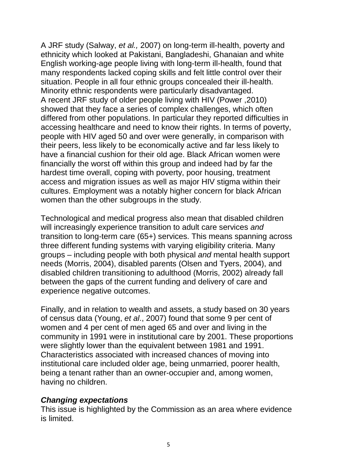A JRF study (Salway, *et al.,* 2007) on long-term ill-health, poverty and ethnicity which looked at Pakistani, Bangladeshi, Ghanaian and white English working-age people living with long-term ill-health, found that many respondents lacked coping skills and felt little control over their situation. People in all four ethnic groups concealed their ill-health. Minority ethnic respondents were particularly disadvantaged. A recent JRF study of older people living with HIV (Power ,2010) showed that they face a series of complex challenges, which often differed from other populations. In particular they reported difficulties in accessing healthcare and need to know their rights. In terms of poverty, people with HIV aged 50 and over were generally, in comparison with their peers, less likely to be economically active and far less likely to have a financial cushion for their old age. Black African women were financially the worst off within this group and indeed had by far the hardest time overall, coping with poverty, poor housing, treatment access and migration issues as well as major HIV stigma within their cultures. Employment was a notably higher concern for black African women than the other subgroups in the study.

Technological and medical progress also mean that disabled children will increasingly experience transition to adult care services *and* transition to long-term care (65+) services. This means spanning across three different funding systems with varying eligibility criteria. Many groups – including people with both physical *and* mental health support needs (Morris, 2004), disabled parents (Olsen and Tyers, 2004), and disabled children transitioning to adulthood (Morris, 2002) already fall between the gaps of the current funding and delivery of care and experience negative outcomes.

Finally, and in relation to wealth and assets, a study based on 30 years of census data (Young, *et al*., 2007) found that some 9 per cent of women and 4 per cent of men aged 65 and over and living in the community in 1991 were in institutional care by 2001. These proportions were slightly lower than the equivalent between 1981 and 1991. Characteristics associated with increased chances of moving into institutional care included older age, being unmarried, poorer health, being a tenant rather than an owner-occupier and, among women, having no children.

#### *Changing expectations*

This issue is highlighted by the Commission as an area where evidence is limited.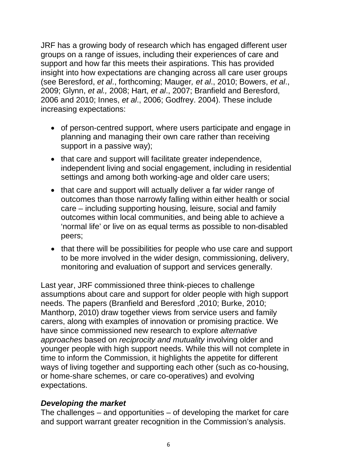JRF has a growing body of research which has engaged different user groups on a range of issues, including their experiences of care and support and how far this meets their aspirations. This has provided insight into how expectations are changing across all care user groups (see Beresford, *et al*., forthcoming; Mauger*, et al*., 2010; Bowers, *et al*., 2009; Glynn, *et al.,* 2008; Hart, *et al*., 2007; Branfield and Beresford, 2006 and 2010; Innes, *et al*., 2006; Godfrey. 2004). These include increasing expectations:

- of person-centred support, where users participate and engage in planning and managing their own care rather than receiving support in a passive way);
- that care and support will facilitate greater independence, independent living and social engagement, including in residential settings and among both working-age and older care users;
- that care and support will actually deliver a far wider range of outcomes than those narrowly falling within either health or social care – including supporting housing, leisure, social and family outcomes within local communities, and being able to achieve a 'normal life' or live on as equal terms as possible to non-disabled peers;
- that there will be possibilities for people who use care and support to be more involved in the wider design, commissioning, delivery, monitoring and evaluation of support and services generally.

Last year, JRF commissioned three think-pieces to challenge assumptions about care and support for older people with high support needs. The papers (Branfield and Beresford ,2010; Burke, 2010; Manthorp, 2010) draw together views from service users and family carers, along with examples of innovation or promising practice. We have since commissioned new research to explore *alternative approaches* based on *reciprocity and mutuality* involving older and younger people with high support needs. While this will not complete in time to inform the Commission, it highlights the appetite for different ways of living together and supporting each other (such as co-housing, or home-share schemes, or care co-operatives) and evolving expectations.

### *Developing the market*

The challenges – and opportunities – of developing the market for care and support warrant greater recognition in the Commission's analysis.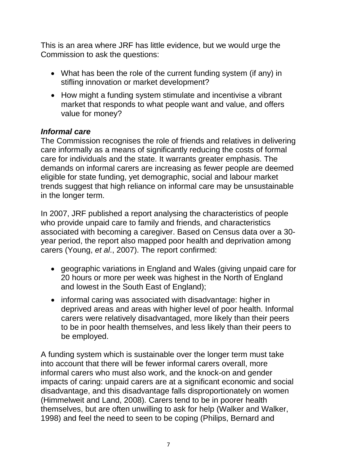This is an area where JRF has little evidence, but we would urge the Commission to ask the questions:

- What has been the role of the current funding system (if any) in stifling innovation or market development?
- How might a funding system stimulate and incentivise a vibrant market that responds to what people want and value, and offers value for money?

### *Informal care*

The Commission recognises the role of friends and relatives in delivering care informally as a means of significantly reducing the costs of formal care for individuals and the state. It warrants greater emphasis. The demands on informal carers are increasing as fewer people are deemed eligible for state funding, yet demographic, social and labour market trends suggest that high reliance on informal care may be unsustainable in the longer term.

In 2007, JRF published a report analysing the characteristics of people who provide unpaid care to family and friends, and characteristics associated with becoming a caregiver. Based on Census data over a 30 year period, the report also mapped poor health and deprivation among carers (Young, *et al*., 2007). The report confirmed:

- geographic variations in England and Wales (giving unpaid care for 20 hours or more per week was highest in the North of England and lowest in the South East of England);
- informal caring was associated with disadvantage: higher in deprived areas and areas with higher level of poor health. Informal carers were relatively disadvantaged, more likely than their peers to be in poor health themselves, and less likely than their peers to be employed.

A funding system which is sustainable over the longer term must take into account that there will be fewer informal carers overall, more informal carers who must also work, and the knock-on and gender impacts of caring: unpaid carers are at a significant economic and social disadvantage, and this disadvantage falls disproportionately on women (Himmelweit and Land, 2008). Carers tend to be in poorer health themselves, but are often unwilling to ask for help (Walker and Walker, 1998) and feel the need to seen to be coping (Philips, Bernard and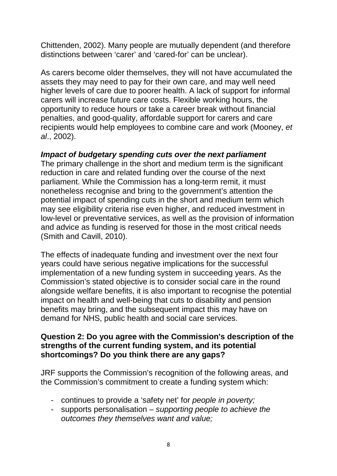Chittenden, 2002). Many people are mutually dependent (and therefore distinctions between 'carer' and 'cared-for' can be unclear).

As carers become older themselves, they will not have accumulated the assets they may need to pay for their own care, and may well need higher levels of care due to poorer health. A lack of support for informal carers will increase future care costs. Flexible working hours, the opportunity to reduce hours or take a career break without financial penalties, and good-quality, affordable support for carers and care recipients would help employees to combine care and work (Mooney, *et al*., 2002).

### *Impact of budgetary spending cuts over the next parliament*

The primary challenge in the short and medium term is the significant reduction in care and related funding over the course of the next parliament. While the Commission has a long-term remit, it must nonetheless recognise and bring to the government's attention the potential impact of spending cuts in the short and medium term which may see eligibility criteria rise even higher, and reduced investment in low-level or preventative services, as well as the provision of information and advice as funding is reserved for those in the most critical needs (Smith and Cavill, 2010).

The effects of inadequate funding and investment over the next four years could have serious negative implications for the successful implementation of a new funding system in succeeding years. As the Commission's stated objective is to consider social care in the round alongside welfare benefits, it is also important to recognise the potential impact on health and well-being that cuts to disability and pension benefits may bring, and the subsequent impact this may have on demand for NHS, public health and social care services.

#### **Question 2: Do you agree with the Commission's description of the strengths of the current funding system, and its potential shortcomings? Do you think there are any gaps?**

JRF supports the Commission's recognition of the following areas, and the Commission's commitment to create a funding system which:

- continues to provide a 'safety net' for *people in poverty;*
- supports personalisation  *supporting people to achieve the outcomes they themselves want and value;*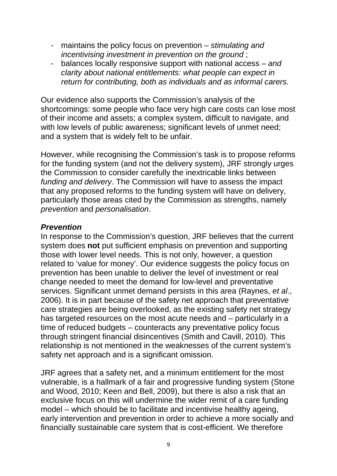- maintains the policy focus on prevention *stimulating and incentivising investment in prevention on the ground* ;
- balances locally responsive support with national access *and clarity about national entitlements: what people can expect in return for contributing, both as individuals and as informal carers.*

Our evidence also supports the Commission's analysis of the shortcomings: some people who face very high care costs can lose most of their income and assets; a complex system, difficult to navigate, and with low levels of public awareness; significant levels of unmet need; and a system that is widely felt to be unfair.

However, while recognising the Commission's task is to propose reforms for the funding system (and not the delivery system), JRF strongly urges the Commission to consider carefully the inextricable links between *funding and delivery*. The Commission will have to assess the impact that any proposed reforms to the funding system will have on delivery, particularly those areas cited by the Commission as strengths, namely *prevention* and *personalisation*.

### *Prevention*

In response to the Commission's question, JRF believes that the current system does **not** put sufficient emphasis on prevention and supporting those with lower level needs. This is not only, however, a question related to 'value for money'. Our evidence suggests the policy focus on prevention has been unable to deliver the level of investment or real change needed to meet the demand for low-level and preventative services. Significant unmet demand persists in this area (Raynes, *et al*., 2006). It is in part because of the safety net approach that preventative care strategies are being overlooked, as the existing safety net strategy has targeted resources on the most acute needs and – particularly in a time of reduced budgets – counteracts any preventative policy focus through stringent financial disincentives (Smith and Cavill, 2010). This relationship is not mentioned in the weaknesses of the current system's safety net approach and is a significant omission.

JRF agrees that a safety net, and a minimum entitlement for the most vulnerable, is a hallmark of a fair and progressive funding system (Stone and Wood, 2010; Keen and Bell, 2009), but there is also a risk that an exclusive focus on this will undermine the wider remit of a care funding model – which should be to facilitate and incentivise healthy ageing, early intervention and prevention in order to achieve a more socially and financially sustainable care system that is cost-efficient. We therefore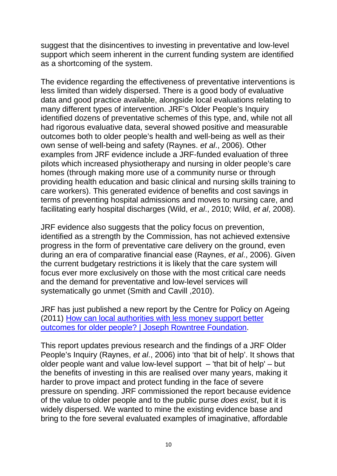suggest that the disincentives to investing in preventative and low-level support which seem inherent in the current funding system are identified as a shortcoming of the system.

The evidence regarding the effectiveness of preventative interventions is less limited than widely dispersed. There is a good body of evaluative data and good practice available, alongside local evaluations relating to many different types of intervention. JRF's Older People's Inquiry identified dozens of preventative schemes of this type, and, while not all had rigorous evaluative data, several showed positive and measurable outcomes both to older people's health and well-being as well as their own sense of well-being and safety (Raynes. *et al*., 2006). Other examples from JRF evidence include a JRF-funded evaluation of three pilots which increased physiotherapy and nursing in older people's care homes (through making more use of a community nurse or through providing health education and basic clinical and nursing skills training to care workers). This generated evidence of benefits and cost savings in terms of preventing hospital admissions and moves to nursing care, and facilitating early hospital discharges (Wild, *et al*., 2010; Wild, *et al*, 2008).

JRF evidence also suggests that the policy focus on prevention, identified as a strength by the Commission, has not achieved extensive progress in the form of preventative care delivery on the ground, even during an era of comparative financial ease (Raynes, *et al*., 2006). Given the current budgetary restrictions it is likely that the care system will focus ever more exclusively on those with the most critical care needs and the demand for preventative and low-level services will systematically go unmet (Smith and Cavill ,2010).

JRF has just published a new report by the Centre for Policy on Ageing (2011) [How can local authorities with less money support better](http://www.jrf.org.uk/publications/local-authorities-better-outcomes-older-people)  [outcomes for older people? | Joseph Rowntree Foundation.](http://www.jrf.org.uk/publications/local-authorities-better-outcomes-older-people)

This report updates previous research and the findings of a JRF Older People's Inquiry (Raynes, *et al*., 2006) into 'that bit of help'. It shows that older people want and value low-level support – 'that bit of help' – but the benefits of investing in this are realised over many years, making it harder to prove impact and protect funding in the face of severe pressure on spending. JRF commissioned the report because evidence of the value to older people and to the public purse *does exist*, but it is widely dispersed. We wanted to mine the existing evidence base and bring to the fore several evaluated examples of imaginative, affordable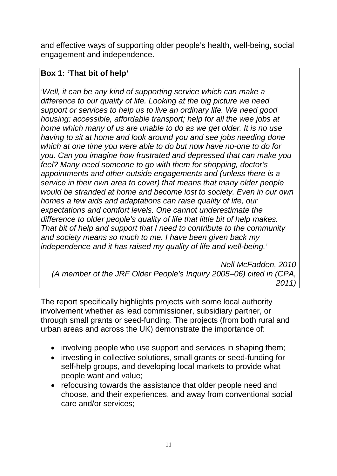and effective ways of supporting older people's health, well-being, social engagement and independence.

# **Box 1: 'That bit of help'**

*'Well, it can be any kind of supporting service which can make a difference to our quality of life. Looking at the big picture we need support or services to help us to live an ordinary life. We need good housing; accessible, affordable transport; help for all the wee jobs at home which many of us are unable to do as we get older. It is no use having to sit at home and look around you and see jobs needing done which at one time you were able to do but now have no-one to do for you. Can you imagine how frustrated and depressed that can make you feel? Many need someone to go with them for shopping, doctor's appointments and other outside engagements and (unless there is a service in their own area to cover) that means that many older people would be stranded at home and become lost to society. Even in our own homes a few aids and adaptations can raise quality of life, our expectations and comfort levels. One cannot underestimate the difference to older people's quality of life that little bit of help makes. That bit of help and support that I need to contribute to the community and society means so much to me. I have been given back my independence and it has raised my quality of life and well-being.'*

 *Nell McFadden, 2010 (A member of the JRF Older People's Inquiry 2005–06) cited in (CPA, 2011)* 

The report specifically highlights projects with some local authority involvement whether as lead commissioner, subsidiary partner, or through small grants or seed-funding. The projects (from both rural and urban areas and across the UK) demonstrate the importance of:

- involving people who use support and services in shaping them;
- investing in collective solutions, small grants or seed-funding for self-help groups, and developing local markets to provide what people want and value;
- refocusing towards the assistance that older people need and choose, and their experiences, and away from conventional social care and/or services;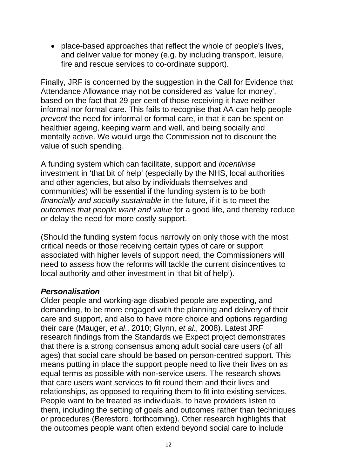• place-based approaches that reflect the whole of people's lives, and deliver value for money (e.g. by including transport, leisure, fire and rescue services to co-ordinate support).

Finally, JRF is concerned by the suggestion in the Call for Evidence that Attendance Allowance may not be considered as 'value for money', based on the fact that 29 per cent of those receiving it have neither informal nor formal care. This fails to recognise that AA can help people *prevent* the need for informal or formal care, in that it can be spent on healthier ageing, keeping warm and well, and being socially and mentally active. We would urge the Commission not to discount the value of such spending.

A funding system which can facilitate, support and *incentivise*  investment in 'that bit of help' (especially by the NHS, local authorities and other agencies, but also by individuals themselves and communities) will be essential if the funding system is to be both *financially and socially sustainable* in the future, if it is to meet the *outcomes that people want and value* for a good life, and thereby reduce or delay the need for more costly support.

(Should the funding system focus narrowly on only those with the most critical needs or those receiving certain types of care or support associated with higher levels of support need, the Commissioners will need to assess how the reforms will tackle the current disincentives to local authority and other investment in 'that bit of help').

#### *Personalisation*

Older people and working-age disabled people are expecting, and demanding, to be more engaged with the planning and delivery of their care and support, and also to have more choice and options regarding their care (Mauger, *et al*., 2010; Glynn, *et al*., 2008). Latest JRF research findings from the Standards we Expect project demonstrates that there is a strong consensus among adult social care users (of all ages) that social care should be based on person-centred support. This means putting in place the support people need to live their lives on as equal terms as possible with non-service users. The research shows that care users want services to fit round them and their lives and relationships, as opposed to requiring them to fit into existing services. People want to be treated as individuals, to have providers listen to them, including the setting of goals and outcomes rather than techniques or procedures (Beresford, forthcoming). Other research highlights that the outcomes people want often extend beyond social care to include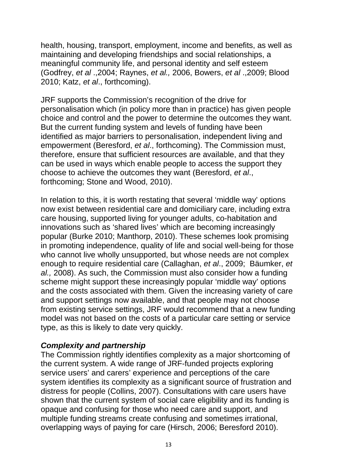health, housing, transport, employment, income and benefits, as well as maintaining and developing friendships and social relationships, a meaningful community life, and personal identity and self esteem (Godfrey, *et al* .,2004; Raynes, *et al.,* 2006, Bowers, *et al* .,2009; Blood 2010; Katz, *et al*., forthcoming).

JRF supports the Commission's recognition of the drive for personalisation which (in policy more than in practice) has given people choice and control and the power to determine the outcomes they want. But the current funding system and levels of funding have been identified as major barriers to personalisation, independent living and empowerment (Beresford, *et al*., forthcoming). The Commission must, therefore, ensure that sufficient resources are available, and that they can be used in ways which enable people to access the support they choose to achieve the outcomes they want (Beresford, *et al*., forthcoming; Stone and Wood, 2010).

In relation to this, it is worth restating that several 'middle way' options now exist between residential care and domiciliary care, including extra care housing, supported living for younger adults, co-habitation and innovations such as 'shared lives' which are becoming increasingly popular (Burke 2010; Manthorp, 2010). These schemes look promising in promoting independence, quality of life and social well-being for those who cannot live wholly unsupported, but whose needs are not complex enough to require residential care (Callaghan, *et al*., 2009; Bäumker, *et al.,* 2008). As such, the Commission must also consider how a funding scheme might support these increasingly popular 'middle way' options and the costs associated with them. Given the increasing variety of care and support settings now available, and that people may not choose from existing service settings, JRF would recommend that a new funding model was not based on the costs of a particular care setting or service type, as this is likely to date very quickly.

### *Complexity and partnership*

The Commission rightly identifies complexity as a major shortcoming of the current system. A wide range of JRF-funded projects exploring service users' and carers' experience and perceptions of the care system identifies its complexity as a significant source of frustration and distress for people (Collins, 2007). Consultations with care users have shown that the current system of social care eligibility and its funding is opaque and confusing for those who need care and support, and multiple funding streams create confusing and sometimes irrational, overlapping ways of paying for care (Hirsch, 2006; Beresford 2010).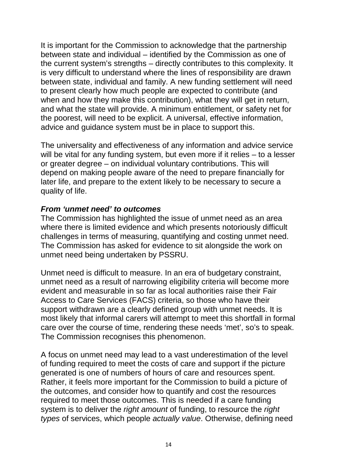It is important for the Commission to acknowledge that the partnership between state and individual – identified by the Commission as one of the current system's strengths – directly contributes to this complexity. It is very difficult to understand where the lines of responsibility are drawn between state, individual and family. A new funding settlement will need to present clearly how much people are expected to contribute (and when and how they make this contribution), what they will get in return, and what the state will provide. A minimum entitlement, or safety net for the poorest, will need to be explicit. A universal, effective information, advice and guidance system must be in place to support this.

The universality and effectiveness of any information and advice service will be vital for any funding system, but even more if it relies – to a lesser or greater degree – on individual voluntary contributions. This will depend on making people aware of the need to prepare financially for later life, and prepare to the extent likely to be necessary to secure a quality of life.

#### *From 'unmet need' to outcomes*

The Commission has highlighted the issue of unmet need as an area where there is limited evidence and which presents notoriously difficult challenges in terms of measuring, quantifying and costing unmet need. The Commission has asked for evidence to sit alongside the work on unmet need being undertaken by PSSRU.

Unmet need is difficult to measure. In an era of budgetary constraint, unmet need as a result of narrowing eligibility criteria will become more evident and measurable in so far as local authorities raise their Fair Access to Care Services (FACS) criteria, so those who have their support withdrawn are a clearly defined group with unmet needs. It is most likely that informal carers will attempt to meet this shortfall in formal care over the course of time, rendering these needs 'met', so's to speak. The Commission recognises this phenomenon.

A focus on unmet need may lead to a vast underestimation of the level of funding required to meet the costs of care and support if the picture generated is one of numbers of hours of care and resources spent. Rather, it feels more important for the Commission to build a picture of the outcomes, and consider how to quantify and cost the resources required to meet those outcomes. This is needed if a care funding system is to deliver the *right amount* of funding, to resource the *right types* of services, which people *actually value*. Otherwise, defining need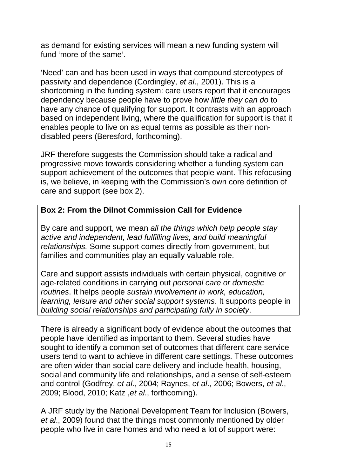as demand for existing services will mean a new funding system will fund 'more of the same'.

'Need' can and has been used in ways that compound stereotypes of passivity and dependence (Cordingley, *et al*., 2001). This is a shortcoming in the funding system: care users report that it encourages dependency because people have to prove how *little they can do* to have any chance of qualifying for support. It contrasts with an approach based on independent living, where the qualification for support is that it enables people to live on as equal terms as possible as their nondisabled peers (Beresford, forthcoming).

JRF therefore suggests the Commission should take a radical and progressive move towards considering whether a funding system can support achievement of the outcomes that people want. This refocusing is, we believe, in keeping with the Commission's own core definition of care and support (see box 2).

### **Box 2: From the Dilnot Commission Call for Evidence**

By care and support, we mean *all the things which help people stay active and independent, lead fulfilling lives, and build meaningful relationships.* Some support comes directly from government, but families and communities play an equally valuable role.

Care and support assists individuals with certain physical, cognitive or age-related conditions in carrying out *personal care or domestic routines*. It helps people *sustain involvement in work, education, learning, leisure and other social support systems*. It supports people in *building social relationships and participating fully in society*.

There is already a significant body of evidence about the outcomes that people have identified as important to them. Several studies have sought to identify a common set of outcomes that different care service users tend to want to achieve in different care settings. These outcomes are often wider than social care delivery and include health, housing, social and community life and relationships, and a sense of self-esteem and control (Godfrey, *et al*., 2004; Raynes, *et al*., 2006; Bowers, *et al*., 2009; Blood, 2010; Katz ,*et al*., forthcoming).

A JRF study by the National Development Team for Inclusion (Bowers, *et al*., 2009) found that the things most commonly mentioned by older people who live in care homes and who need a lot of support were: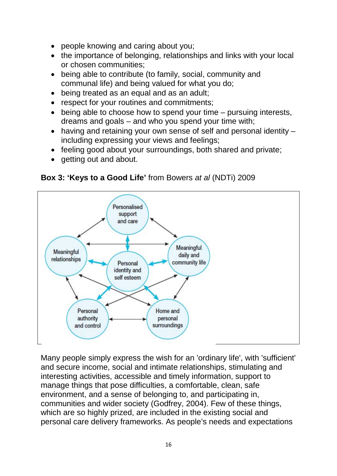- people knowing and caring about you;
- the importance of belonging, relationships and links with your local or chosen communities;
- being able to contribute (to family, social, community and communal life) and being valued for what you do;
- being treated as an equal and as an adult;
- respect for your routines and commitments:
- being able to choose how to spend your time pursuing interests, dreams and goals – and who you spend your time with;
- having and retaining your own sense of self and personal identity including expressing your views and feelings;
- feeling good about your surroundings, both shared and private;
- getting out and about.

**Box 3: 'Keys to a Good Life'** from Bowers *at al* (NDTi) 2009



Many people simply express the wish for an 'ordinary life', with 'sufficient' and secure income, social and intimate relationships, stimulating and interesting activities, accessible and timely information, support to manage things that pose difficulties, a comfortable, clean, safe environment, and a sense of belonging to, and participating in, communities and wider society (Godfrey, 2004). Few of these things, which are so highly prized, are included in the existing social and personal care delivery frameworks. As people's needs and expectations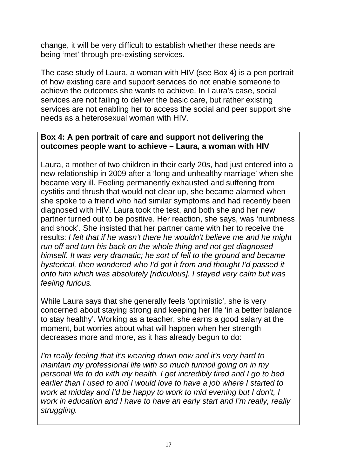change, it will be very difficult to establish whether these needs are being 'met' through pre-existing services.

The case study of Laura, a woman with HIV (see Box 4) is a pen portrait of how existing care and support services do not enable someone to achieve the outcomes she wants to achieve. In Laura's case, social services are not failing to deliver the basic care, but rather existing services are not enabling her to access the social and peer support she needs as a heterosexual woman with HIV.

### **Box 4: A pen portrait of care and support not delivering the outcomes people want to achieve – Laura, a woman with HIV**

Laura, a mother of two children in their early 20s, had just entered into a new relationship in 2009 after a 'long and unhealthy marriage' when she became very ill. Feeling permanently exhausted and suffering from cystitis and thrush that would not clear up, she became alarmed when she spoke to a friend who had similar symptoms and had recently been diagnosed with HIV. Laura took the test, and both she and her new partner turned out to be positive. Her reaction, she says, was 'numbness and shock'. She insisted that her partner came with her to receive the results: *I felt that if he wasn't there he wouldn't believe me and he might run off and turn his back on the whole thing and not get diagnosed himself. It was very dramatic; he sort of fell to the ground and became hysterical, then wondered who I'd got it from and thought I'd passed it onto him which was absolutely [ridiculous]. I stayed very calm but was feeling furious.*

While Laura says that she generally feels 'optimistic', she is very concerned about staying strong and keeping her life 'in a better balance to stay healthy'. Working as a teacher, she earns a good salary at the moment, but worries about what will happen when her strength decreases more and more, as it has already begun to do:

*I'm really feeling that it's wearing down now and it's very hard to maintain my professional life with so much turmoil going on in my personal life to do with my health. I get incredibly tired and I go to bed earlier than I used to and I would love to have a job where I started to work at midday and I'd be happy to work to mid evening but I don't, I work in education and I have to have an early start and I'm really, really struggling.*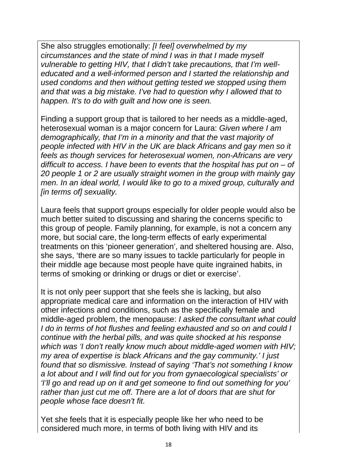She also struggles emotionally: *[I feel] overwhelmed by my circumstances and the state of mind I was in that I made myself vulnerable to getting HIV, that I didn't take precautions, that I'm welleducated and a well-informed person and I started the relationship and used condoms and then without getting tested we stopped using them and that was a big mistake. I've had to question why I allowed that to happen. It's to do with guilt and how one is seen.*

Finding a support group that is tailored to her needs as a middle-aged, heterosexual woman is a major concern for Laura: *Given where I am demographically, that I'm in a minority and that the vast majority of people infected with HIV in the UK are black Africans and gay men so it feels as though services for heterosexual women, non-Africans are very difficult to access. I have been to events that the hospital has put on – of 20 people 1 or 2 are usually straight women in the group with mainly gay men. In an ideal world, I would like to go to a mixed group, culturally and [in terms of] sexuality.*

Laura feels that support groups especially for older people would also be much better suited to discussing and sharing the concerns specific to this group of people. Family planning, for example, is not a concern any more, but social care, the long-term effects of early experimental treatments on this 'pioneer generation', and sheltered housing are. Also, she says, 'there are so many issues to tackle particularly for people in their middle age because most people have quite ingrained habits, in terms of smoking or drinking or drugs or diet or exercise'.

It is not only peer support that she feels she is lacking, but also appropriate medical care and information on the interaction of HIV with other infections and conditions, such as the specifically female and middle-aged problem, the menopause: *I asked the consultant what could I do in terms of hot flushes and feeling exhausted and so on and could I continue with the herbal pills, and was quite shocked at his response which was 'I don't really know much about middle-aged women with HIV; my area of expertise is black Africans and the gay community.' I just found that so dismissive. Instead of saying 'That's not something I know a lot about and I will find out for you from gynaecological specialists' or 'I'll go and read up on it and get someone to find out something for you' rather than just cut me off. There are a lot of doors that are shut for people whose face doesn't fit.*

Yet she feels that it is especially people like her who need to be considered much more, in terms of both living with HIV and its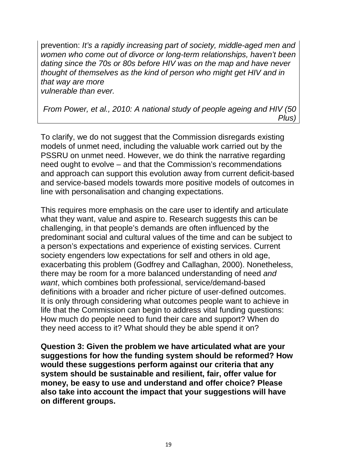prevention: *It's a rapidly increasing part of society, middle-aged men and women who come out of divorce or long-term relationships, haven't been dating since the 70s or 80s before HIV was on the map and have never thought of themselves as the kind of person who might get HIV and in that way are more*

*vulnerable than ever.*

*From Power, et al., 2010: A national study of people ageing and HIV (50 Plus)*

To clarify, we do not suggest that the Commission disregards existing models of unmet need, including the valuable work carried out by the PSSRU on unmet need. However, we do think the narrative regarding need ought to evolve – and that the Commission's recommendations and approach can support this evolution away from current deficit-based and service-based models towards more positive models of outcomes in line with personalisation and changing expectations.

This requires more emphasis on the care user to identify and articulate what they want, value and aspire to. Research suggests this can be challenging, in that people's demands are often influenced by the predominant social and cultural values of the time and can be subject to a person's expectations and experience of existing services. Current society engenders low expectations for self and others in old age, exacerbating this problem (Godfrey and Callaghan, 2000). Nonetheless, there may be room for a more balanced understanding of need *and want*, which combines both professional, service/demand-based definitions with a broader and richer picture of user-defined outcomes. It is only through considering what outcomes people want to achieve in life that the Commission can begin to address vital funding questions: How much do people need to fund their care and support? When do they need access to it? What should they be able spend it on?

**Question 3: Given the problem we have articulated what are your suggestions for how the funding system should be reformed? How would these suggestions perform against our criteria that any system should be sustainable and resilient, fair, offer value for money, be easy to use and understand and offer choice? Please also take into account the impact that your suggestions will have on different groups.**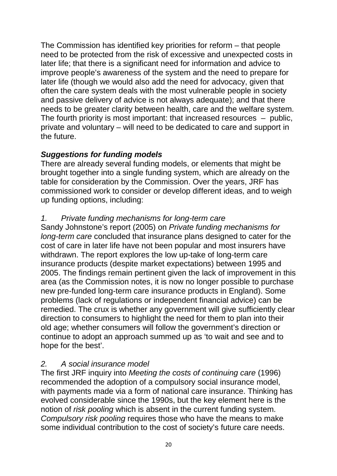The Commission has identified key priorities for reform – that people need to be protected from the risk of excessive and unexpected costs in later life; that there is a significant need for information and advice to improve people's awareness of the system and the need to prepare for later life (though we would also add the need for advocacy, given that often the care system deals with the most vulnerable people in society and passive delivery of advice is not always adequate); and that there needs to be greater clarity between health, care and the welfare system. The fourth priority is most important: that increased resources – public, private and voluntary – will need to be dedicated to care and support in the future.

# *Suggestions for funding models*

There are already several funding models, or elements that might be brought together into a single funding system, which are already on the table for consideration by the Commission. Over the years, JRF has commissioned work to consider or develop different ideas, and to weigh up funding options, including:

### *1. Private funding mechanisms for long-term care*

Sandy Johnstone's report (2005) on *Private funding mechanisms for long-term care* concluded that insurance plans designed to cater for the cost of care in later life have not been popular and most insurers have withdrawn. The report explores the low up-take of long-term care insurance products (despite market expectations) between 1995 and 2005. The findings remain pertinent given the lack of improvement in this area (as the Commission notes, it is now no longer possible to purchase new pre-funded long-term care insurance products in England). Some problems (lack of regulations or independent financial advice) can be remedied. The crux is whether any government will give sufficiently clear direction to consumers to highlight the need for them to plan into their old age; whether consumers will follow the government's direction or continue to adopt an approach summed up as 'to wait and see and to hope for the best'.

# *2. A social insurance model*

The first JRF inquiry into *Meeting the costs of continuing care* (1996) recommended the adoption of a compulsory social insurance model, with payments made via a form of national care insurance. Thinking has evolved considerable since the 1990s, but the key element here is the notion of *risk pooling* which is absent in the current funding system. *Compulsory risk pooling* requires those who have the means to make some individual contribution to the cost of society's future care needs.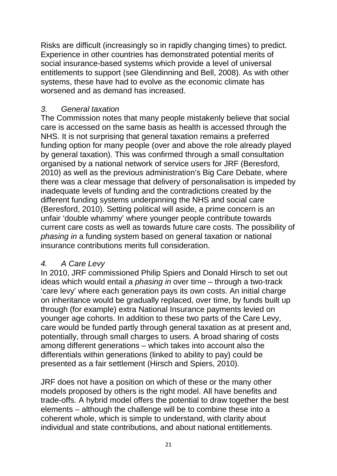Risks are difficult (increasingly so in rapidly changing times) to predict. Experience in other countries has demonstrated potential merits of social insurance-based systems which provide a level of universal entitlements to support (see Glendinning and Bell, 2008). As with other systems, these have had to evolve as the economic climate has worsened and as demand has increased.

### *3. General taxation*

The Commission notes that many people mistakenly believe that social care is accessed on the same basis as health is accessed through the NHS. It is not surprising that general taxation remains a preferred funding option for many people (over and above the role already played by general taxation). This was confirmed through a small consultation organised by a national network of service users for JRF (Beresford, 2010) as well as the previous administration's Big Care Debate, where there was a clear message that delivery of personalisation is impeded by inadequate levels of funding and the contradictions created by the different funding systems underpinning the NHS and social care (Beresford, 2010). Setting political will aside, a prime concern is an unfair 'double whammy' where younger people contribute towards current care costs as well as towards future care costs. The possibility of *phasing in* a funding system based on general taxation or national insurance contributions merits full consideration.

### *4. A Care Levy*

In 2010, JRF commissioned Philip Spiers and Donald Hirsch to set out ideas which would entail a *phasing in* over time – through a two-track 'care levy' where each generation pays its own costs. An initial charge on inheritance would be gradually replaced, over time, by funds built up through (for example) extra National Insurance payments levied on younger age cohorts. In addition to these two parts of the Care Levy, care would be funded partly through general taxation as at present and, potentially, through small charges to users. A broad sharing of costs among different generations – which takes into account also the differentials within generations (linked to ability to pay) could be presented as a fair settlement (Hirsch and Spiers, 2010).

JRF does not have a position on which of these or the many other models proposed by others is the right model. All have benefits and trade-offs. A hybrid model offers the potential to draw together the best elements – although the challenge will be to combine these into a coherent whole, which is simple to understand, with clarity about individual and state contributions, and about national entitlements.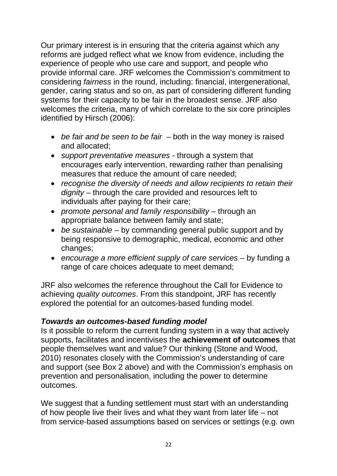Our primary interest is in ensuring that the criteria against which any reforms are judged reflect what we know from evidence, including the experience of people who use care and support, and people who provide informal care. JRF welcomes the Commission's commitment to considering *fairness* in the round, including: financial, intergenerational, gender, caring status and so on, as part of considering different funding systems for their capacity to be fair in the broadest sense. JRF also welcomes the criteria, many of which correlate to the six core principles identified by Hirsch (2006):

- *be fair and be seen to be fair* both in the way money is raised and allocated;
- *support preventative measures* through a system that encourages early intervention, rewarding rather than penalising measures that reduce the amount of care needed;
- *recognise the diversity of needs and allow recipients to retain their dignity* – through the care provided and resources left to individuals after paying for their care;
- *promote personal and family responsibility* through an appropriate balance between family and state;
- *be sustainable* by commanding general public support and by being responsive to demographic, medical, economic and other changes;
- *encourage a more efficient supply of care services* by funding a range of care choices adequate to meet demand;

JRF also welcomes the reference throughout the Call for Evidence to achieving *quality outcomes*. From this standpoint, JRF has recently explored the potential for an outcomes-based funding model.

### *Towards an outcomes-based funding model*

Is it possible to reform the current funding system in a way that actively supports, facilitates and incentivises the **achievement of outcomes** that people themselves want and value? Our thinking (Stone and Wood, 2010) resonates closely with the Commission's understanding of care and support (see Box 2 above) and with the Commission's emphasis on prevention and personalisation, including the power to determine outcomes.

We suggest that a funding settlement must start with an understanding of how people live their lives and what they want from later life – not from service-based assumptions based on services or settings (e.g. own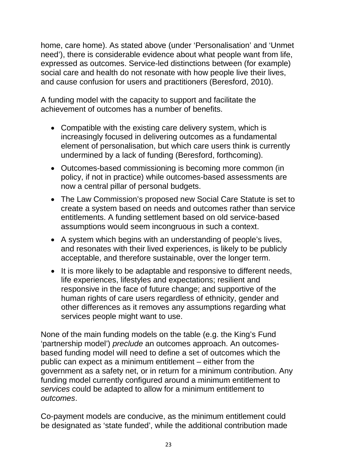home, care home). As stated above (under 'Personalisation' and 'Unmet need'), there is considerable evidence about what people want from life, expressed as outcomes. Service-led distinctions between (for example) social care and health do not resonate with how people live their lives, and cause confusion for users and practitioners (Beresford, 2010).

A funding model with the capacity to support and facilitate the achievement of outcomes has a number of benefits.

- Compatible with the existing care delivery system, which is increasingly focused in delivering outcomes as a fundamental element of personalisation, but which care users think is currently undermined by a lack of funding (Beresford, forthcoming).
- Outcomes-based commissioning is becoming more common (in policy, if not in practice) while outcomes-based assessments are now a central pillar of personal budgets.
- The Law Commission's proposed new Social Care Statute is set to create a system based on needs and outcomes rather than service entitlements. A funding settlement based on old service-based assumptions would seem incongruous in such a context.
- A system which begins with an understanding of people's lives, and resonates with their lived experiences, is likely to be publicly acceptable, and therefore sustainable, over the longer term.
- It is more likely to be adaptable and responsive to different needs, life experiences, lifestyles and expectations; resilient and responsive in the face of future change; and supportive of the human rights of care users regardless of ethnicity, gender and other differences as it removes any assumptions regarding what services people might want to use.

None of the main funding models on the table (e.g. the King's Fund 'partnership model') *preclude* an outcomes approach. An outcomesbased funding model will need to define a set of outcomes which the public can expect as a minimum entitlement – either from the government as a safety net, or in return for a minimum contribution. Any funding model currently configured around a minimum entitlement to *services* could be adapted to allow for a minimum entitlement to *outcomes*.

Co-payment models are conducive, as the minimum entitlement could be designated as 'state funded', while the additional contribution made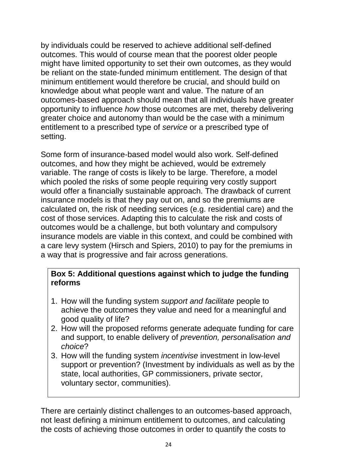by individuals could be reserved to achieve additional self-defined outcomes. This would of course mean that the poorest older people might have limited opportunity to set their own outcomes, as they would be reliant on the state-funded minimum entitlement. The design of that minimum entitlement would therefore be crucial, and should build on knowledge about what people want and value. The nature of an outcomes-based approach should mean that all individuals have greater opportunity to influence *how* those outcomes are met, thereby delivering greater choice and autonomy than would be the case with a minimum entitlement to a prescribed type of *service* or a prescribed type of setting.

Some form of insurance-based model would also work. Self-defined outcomes, and how they might be achieved, would be extremely variable. The range of costs is likely to be large. Therefore, a model which pooled the risks of some people requiring very costly support would offer a financially sustainable approach. The drawback of current insurance models is that they pay out on, and so the premiums are calculated on, the risk of needing services (e.g. residential care) and the cost of those services. Adapting this to calculate the risk and costs of outcomes would be a challenge, but both voluntary and compulsory insurance models are viable in this context, and could be combined with a care levy system (Hirsch and Spiers, 2010) to pay for the premiums in a way that is progressive and fair across generations.

### **Box 5: Additional questions against which to judge the funding reforms**

- 1. How will the funding system *support and facilitate* people to achieve the outcomes they value and need for a meaningful and good quality of life?
- 2. How will the proposed reforms generate adequate funding for care and support, to enable delivery of *prevention, personalisation and choice*?
- 3. How will the funding system *incentivise* investment in low-level support or prevention? (Investment by individuals as well as by the state, local authorities, GP commissioners, private sector, voluntary sector, communities).

There are certainly distinct challenges to an outcomes-based approach, not least defining a minimum entitlement to outcomes, and calculating the costs of achieving those outcomes in order to quantify the costs to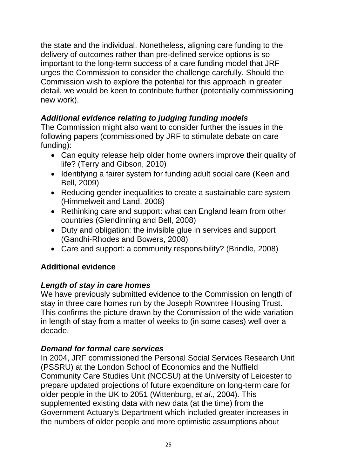the state and the individual. Nonetheless, aligning care funding to the delivery of outcomes rather than pre-defined service options is so important to the long-term success of a care funding model that JRF urges the Commission to consider the challenge carefully. Should the Commission wish to explore the potential for this approach in greater detail, we would be keen to contribute further (potentially commissioning new work).

# *Additional evidence relating to judging funding models*

The Commission might also want to consider further the issues in the following papers (commissioned by JRF to stimulate debate on care funding):

- Can equity release help older home owners improve their quality of life? (Terry and Gibson, 2010)
- Identifying a fairer system for funding adult social care (Keen and Bell, 2009)
- Reducing gender inequalities to create a sustainable care system (Himmelweit and Land, 2008)
- Rethinking care and support: what can England learn from other countries (Glendinning and Bell, 2008)
- Duty and obligation: the invisible glue in services and support (Gandhi-Rhodes and Bowers, 2008)
- Care and support: a community responsibility? (Brindle, 2008)

### **Additional evidence**

### *Length of stay in care homes*

We have previously submitted evidence to the Commission on length of stay in three care homes run by the Joseph Rowntree Housing Trust. This confirms the picture drawn by the Commission of the wide variation in length of stay from a matter of weeks to (in some cases) well over a decade.

### *Demand for formal care services*

In 2004, JRF commissioned the Personal Social Services Research Unit (PSSRU) at the London School of Economics and the Nuffield Community Care Studies Unit (NCCSU) at the University of Leicester to prepare updated projections of future expenditure on long-term care for older people in the UK to 2051 (Wittenburg, *et al*., 2004). This supplemented existing data with new data (at the time) from the Government Actuary's Department which included greater increases in the numbers of older people and more optimistic assumptions about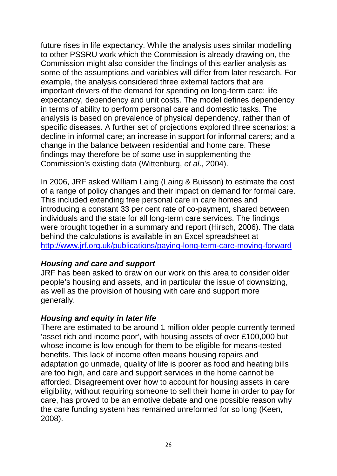future rises in life expectancy. While the analysis uses similar modelling to other PSSRU work which the Commission is already drawing on, the Commission might also consider the findings of this earlier analysis as some of the assumptions and variables will differ from later research. For example, the analysis considered three external factors that are important drivers of the demand for spending on long-term care: life expectancy, dependency and unit costs. The model defines dependency in terms of ability to perform personal care and domestic tasks. The analysis is based on prevalence of physical dependency, rather than of specific diseases. A further set of projections explored three scenarios: a decline in informal care; an increase in support for informal carers; and a change in the balance between residential and home care. These findings may therefore be of some use in supplementing the Commission's existing data (Wittenburg, *et al*., 2004).

In 2006, JRF asked William Laing (Laing & Buisson) to estimate the cost of a range of policy changes and their impact on demand for formal care. This included extending free personal care in care homes and introducing a constant 33 per cent rate of co-payment, shared between individuals and the state for all long-term care services. The findings were brought together in a summary and report (Hirsch, 2006). The data behind the calculations is available in an Excel spreadsheet at <http://www.jrf.org.uk/publications/paying-long-term-care-moving-forward>

### *Housing and care and support*

JRF has been asked to draw on our work on this area to consider older people's housing and assets, and in particular the issue of downsizing, as well as the provision of housing with care and support more generally.

### *Housing and equity in later life*

There are estimated to be around 1 million older people currently termed 'asset rich and income poor', with housing assets of over £100,000 but whose income is low enough for them to be eligible for means-tested benefits. This lack of income often means housing repairs and adaptation go unmade, quality of life is poorer as food and heating bills are too high, and care and support services in the home cannot be afforded. Disagreement over how to account for housing assets in care eligibility, without requiring someone to sell their home in order to pay for care, has proved to be an emotive debate and one possible reason why the care funding system has remained unreformed for so long (Keen, 2008).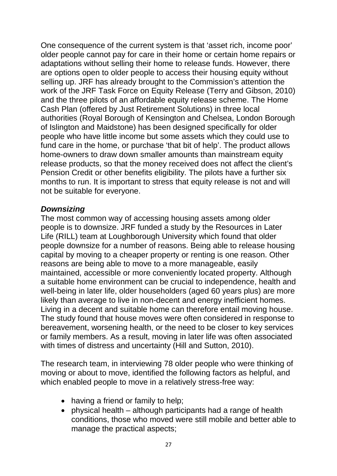One consequence of the current system is that 'asset rich, income poor' older people cannot pay for care in their home or certain home repairs or adaptations without selling their home to release funds. However, there are options open to older people to access their housing equity without selling up. JRF has already brought to the Commission's attention the work of the JRF Task Force on Equity Release (Terry and Gibson, 2010) and the three pilots of an affordable equity release scheme. The Home Cash Plan (offered by Just Retirement Solutions) in three local authorities (Royal Borough of Kensington and Chelsea, London Borough of Islington and Maidstone) has been designed specifically for older people who have little income but some assets which they could use to fund care in the home, or purchase 'that bit of help'. The product allows home-owners to draw down smaller amounts than mainstream equity release products, so that the money received does not affect the client's Pension Credit or other benefits eligibility. The pilots have a further six months to run. It is important to stress that equity release is not and will not be suitable for everyone.

### *Downsizing*

The most common way of accessing housing assets among older people is to downsize. JRF funded a study by the Resources in Later Life (RILL) team at Loughborough University which found that older people downsize for a number of reasons. Being able to release housing capital by moving to a cheaper property or renting is one reason. Other reasons are being able to move to a more manageable, easily maintained, accessible or more conveniently located property. Although a suitable home environment can be crucial to independence, health and well-being in later life, older householders (aged 60 years plus) are more likely than average to live in non-decent and energy inefficient homes. Living in a decent and suitable home can therefore entail moving house. The study found that house moves were often considered in response to bereavement, worsening health, or the need to be closer to key services or family members. As a result, moving in later life was often associated with times of distress and uncertainty (Hill and Sutton, 2010).

The research team, in interviewing 78 older people who were thinking of moving or about to move, identified the following factors as helpful, and which enabled people to move in a relatively stress-free way:

- having a friend or family to help;
- physical health although participants had a range of health conditions, those who moved were still mobile and better able to manage the practical aspects;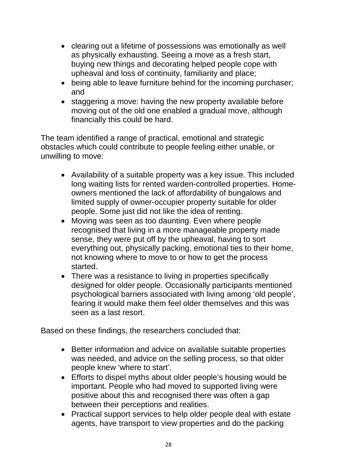- clearing out a lifetime of possessions was emotionally as well as physically exhausting. Seeing a move as a fresh start, buying new things and decorating helped people cope with upheaval and loss of continuity, familiarity and place;
- being able to leave furniture behind for the incoming purchaser; and
- staggering a move: having the new property available before moving out of the old one enabled a gradual move, although financially this could be hard.

The team identified a range of practical, emotional and strategic obstacles which could contribute to people feeling either unable, or unwilling to move:

- Availability of a suitable property was a key issue. This included long waiting lists for rented warden-controlled properties. Homeowners mentioned the lack of affordability of bungalows and limited supply of owner-occupier property suitable for older people. Some just did not like the idea of renting.
- Moving was seen as too daunting. Even where people recognised that living in a more manageable property made sense, they were put off by the upheaval, having to sort everything out, physically packing, emotional ties to their home, not knowing where to move to or how to get the process started.
- There was a resistance to living in properties specifically designed for older people. Occasionally participants mentioned psychological barriers associated with living among 'old people', fearing it would make them feel older themselves and this was seen as a last resort.

Based on these findings, the researchers concluded that:

- Better information and advice on available suitable properties was needed, and advice on the selling process, so that older people knew 'where to start'.
- Efforts to dispel myths about older people's housing would be important. People who had moved to supported living were positive about this and recognised there was often a gap between their perceptions and realities.
- Practical support services to help older people deal with estate agents, have transport to view properties and do the packing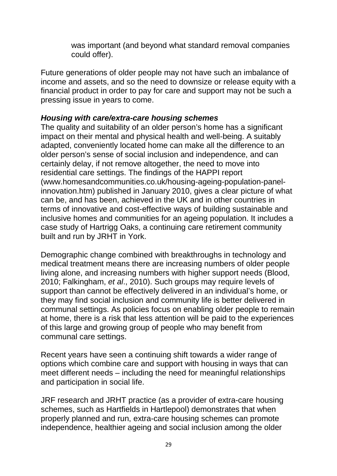was important (and beyond what standard removal companies could offer).

Future generations of older people may not have such an imbalance of income and assets, and so the need to downsize or release equity with a financial product in order to pay for care and support may not be such a pressing issue in years to come.

### *Housing with care/extra-care housing schemes*

The quality and suitability of an older person's home has a significant impact on their mental and physical health and well-being. A suitably adapted, conveniently located home can make all the difference to an older person's sense of social inclusion and independence, and can certainly delay, if not remove altogether, the need to move into residential care settings. The findings of the HAPPI report (www.homesandcommunities.co.uk/housing-ageing-population-panelinnovation.htm) published in January 2010, gives a clear picture of what can be, and has been, achieved in the UK and in other countries in terms of innovative and cost-effective ways of building sustainable and inclusive homes and communities for an ageing population. It includes a case study of Hartrigg Oaks, a continuing care retirement community built and run by JRHT in York.

Demographic change combined with breakthroughs in technology and medical treatment means there are increasing numbers of older people living alone, and increasing numbers with higher support needs (Blood, 2010; Falkingham, *et al*., 2010). Such groups may require levels of support than cannot be effectively delivered in an individual's home, or they may find social inclusion and community life is better delivered in communal settings. As policies focus on enabling older people to remain at home, there is a risk that less attention will be paid to the experiences of this large and growing group of people who may benefit from communal care settings.

Recent years have seen a continuing shift towards a wider range of options which combine care and support with housing in ways that can meet different needs – including the need for meaningful relationships and participation in social life.

JRF research and JRHT practice (as a provider of extra-care housing schemes, such as Hartfields in Hartlepool) demonstrates that when properly planned and run, extra-care housing schemes can promote independence, healthier ageing and social inclusion among the older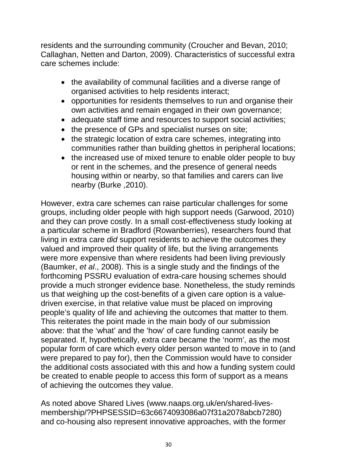residents and the surrounding community (Croucher and Bevan, 2010; Callaghan, Netten and Darton, 2009). Characteristics of successful extra care schemes include:

- the availability of communal facilities and a diverse range of organised activities to help residents interact;
- opportunities for residents themselves to run and organise their own activities and remain engaged in their own governance;
- adequate staff time and resources to support social activities;
- the presence of GPs and specialist nurses on site;
- the strategic location of extra care schemes, integrating into communities rather than building ghettos in peripheral locations;
- the increased use of mixed tenure to enable older people to buy or rent in the schemes, and the presence of general needs housing within or nearby, so that families and carers can live nearby (Burke ,2010).

However, extra care schemes can raise particular challenges for some groups, including older people with high support needs (Garwood, 2010) and they can prove costly. In a small cost-effectiveness study looking at a particular scheme in Bradford (Rowanberries), researchers found that living in extra care *did* support residents to achieve the outcomes they valued and improved their quality of life, but the living arrangements were more expensive than where residents had been living previously (Baumker, *et al*., 2008). This is a single study and the findings of the forthcoming PSSRU evaluation of extra-care housing schemes should provide a much stronger evidence base. Nonetheless, the study reminds us that weighing up the cost-benefits of a given care option is a valuedriven exercise, in that relative value must be placed on improving people's quality of life and achieving the outcomes that matter to them. This reiterates the point made in the main body of our submission above: that the 'what' and the 'how' of care funding cannot easily be separated. If, hypothetically, extra care became the 'norm', as the most popular form of care which every older person wanted to move in to (and were prepared to pay for), then the Commission would have to consider the additional costs associated with this and how a funding system could be created to enable people to access this form of support as a means of achieving the outcomes they value.

As noted above Shared Lives (www.naaps.org.uk/en/shared-livesmembership/?PHPSESSID=63c6674093086a07f31a2078abcb7280) and co-housing also represent innovative approaches, with the former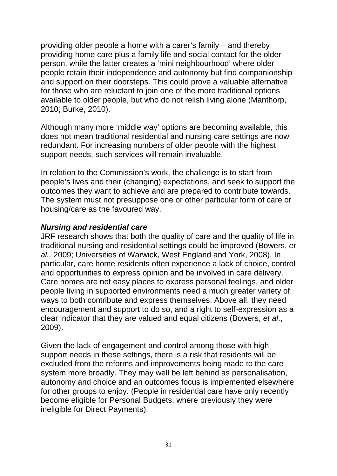providing older people a home with a carer's family – and thereby providing home care plus a family life and social contact for the older person, while the latter creates a 'mini neighbourhood' where older people retain their independence and autonomy but find companionship and support on their doorsteps. This could prove a valuable alternative for those who are reluctant to join one of the more traditional options available to older people, but who do not relish living alone (Manthorp, 2010; Burke, 2010).

Although many more 'middle way' options are becoming available, this does not mean traditional residential and nursing care settings are now redundant. For increasing numbers of older people with the highest support needs, such services will remain invaluable.

In relation to the Commission's work, the challenge is to start from people's lives and their (changing) expectations, and seek to support the outcomes they want to achieve and are prepared to contribute towards. The system must not presuppose one or other particular form of care or housing/care as the favoured way.

#### *Nursing and residential care*

JRF research shows that both the quality of care and the quality of life in traditional nursing and residential settings could be improved (Bowers, *et al.,* 2009; Universities of Warwick, West England and York, 2008). In particular, care home residents often experience a lack of choice, control and opportunities to express opinion and be involved in care delivery. Care homes are not easy places to express personal feelings, and older people living in supported environments need a much greater variety of ways to both contribute and express themselves. Above all, they need encouragement and support to do so, and a right to self-expression as a clear indicator that they are valued and equal citizens (Bowers, *et al*., 2009).

Given the lack of engagement and control among those with high support needs in these settings, there is a risk that residents will be excluded from the reforms and improvements being made to the care system more broadly. They may well be left behind as personalisation, autonomy and choice and an outcomes focus is implemented elsewhere for other groups to enjoy. (People in residential care have only recently become eligible for Personal Budgets, where previously they were ineligible for Direct Payments).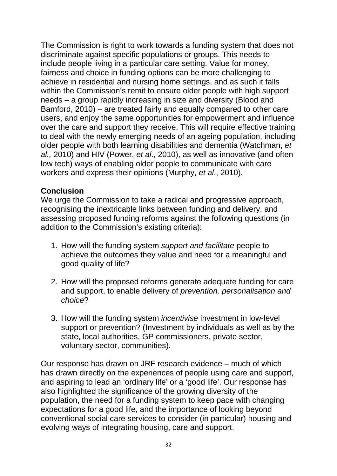The Commission is right to work towards a funding system that does not discriminate against specific populations or groups. This needs to include people living in a particular care setting. Value for money, fairness and choice in funding options can be more challenging to achieve in residential and nursing home settings, and as such it falls within the Commission's remit to ensure older people with high support needs – a group rapidly increasing in size and diversity (Blood and Bamford, 2010) – are treated fairly and equally compared to other care users, and enjoy the same opportunities for empowerment and influence over the care and support they receive. This will require effective training to deal with the newly emerging needs of an ageing population, including older people with both learning disabilities and dementia (Watchman, *et al.,* 2010) and HIV (Power, *et al*., 2010), as well as innovative (and often low tech) ways of enabling older people to communicate with care workers and express their opinions (Murphy, *et al*., 2010).

### **Conclusion**

We urge the Commission to take a radical and progressive approach, recognising the inextricable links between funding and delivery, and assessing proposed funding reforms against the following questions (in addition to the Commission's existing criteria):

- 1. How will the funding system *support and facilitate* people to achieve the outcomes they value and need for a meaningful and good quality of life?
- 2. How will the proposed reforms generate adequate funding for care and support, to enable delivery of *prevention, personalisation and choice*?
- 3. How will the funding system *incentivise* investment in low-level support or prevention? (Investment by individuals as well as by the state, local authorities, GP commissioners, private sector, voluntary sector, communities).

Our response has drawn on JRF research evidence – much of which has drawn directly on the experiences of people using care and support, and aspiring to lead an 'ordinary life' or a 'good life'. Our response has also highlighted the significance of the growing diversity of the population, the need for a funding system to keep pace with changing expectations for a good life, and the importance of looking beyond conventional social care services to consider (in particular) housing and evolving ways of integrating housing, care and support.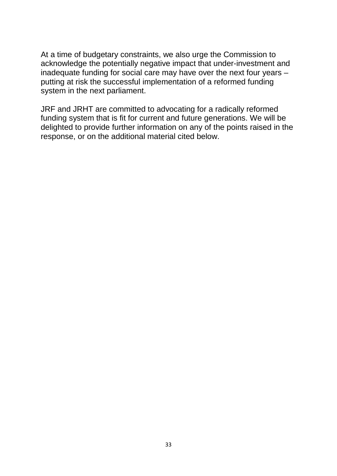At a time of budgetary constraints, we also urge the Commission to acknowledge the potentially negative impact that under-investment and inadequate funding for social care may have over the next four years – putting at risk the successful implementation of a reformed funding system in the next parliament.

JRF and JRHT are committed to advocating for a radically reformed funding system that is fit for current and future generations. We will be delighted to provide further information on any of the points raised in the response, or on the additional material cited below.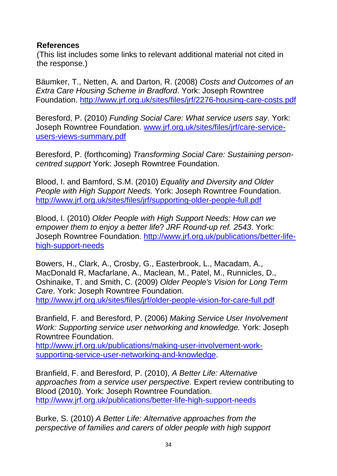### **References**

(This list includes some links to relevant additional material not cited in the response.)

Bäumker, T., Netten, A. and Darton, R. (2008) *Costs and Outcomes of an Extra Care Housing Scheme in Bradford*. York: Joseph Rowntree Foundation.<http://www.jrf.org.uk/sites/files/jrf/2276-housing-care-costs.pdf>

Beresford, P. (2010) *Funding Social Care: What service users say*. York: Joseph Rowntree Foundation. [www.jrf.org.uk/sites/files/jrf/care-service](http://www.jrf.org.uk/sites/files/jrf/care-service-users-views-summary.pdf)[users-views-summary.pdf](http://www.jrf.org.uk/sites/files/jrf/care-service-users-views-summary.pdf)

Beresford, P. (forthcoming) *Transforming Social Care: Sustaining personcentred support* York: Joseph Rowntree Foundation.

Blood, I. and Bamford, S.M. (2010) *Equality and Diversity and Older People with High Support Needs.* York: Joseph Rowntree Foundation. <http://www.jrf.org.uk/sites/files/jrf/supporting-older-people-full.pdf>

Blood, I. (2010) *Older People with High Support Needs: How can we empower them to enjoy a better life*? *JRF Round-up ref. 2543*. York: Joseph Rowntree Foundation. [http://www.jrf.org.uk/publications/better-life](http://www.jrf.org.uk/publications/better-life-high-support-needs)[high-support-needs](http://www.jrf.org.uk/publications/better-life-high-support-needs)

Bowers, H., Clark, A., Crosby, G., Easterbrook, L., Macadam, A., MacDonald R, Macfarlane, A., Maclean, M., Patel, M., Runnicles, D., Oshinaike, T. and Smith, C. (2009) *Older People's Vision for Long Term Care*. York: Joseph Rowntree Foundation. <http://www.jrf.org.uk/sites/files/jrf/older-people-vision-for-care-full.pdf>

Branfield, F. and Beresford, P. (2006) *Making Service User Involvement Work: Supporting service user networking and knowledge.* York: Joseph Rowntree Foundation.

[http://www.jrf.org.uk/publications/making-user-involvement-work](http://www.jrf.org.uk/publications/making-user-involvement-work-supporting-service-user-networking-and-knowledge)[supporting-service-user-networking-and-knowledge.](http://www.jrf.org.uk/publications/making-user-involvement-work-supporting-service-user-networking-and-knowledge)

Branfield, F. and Beresford, P. (2010), *A Better Life: Alternative approaches from a service user perspective.* Expert review contributing to Blood (2010). York: Joseph Rowntree Foundation. <http://www.jrf.org.uk/publications/better-life-high-support-needs>

Burke, S. (2010) *A Better Life: Alternative approaches from the perspective of families and carers of older people with high support*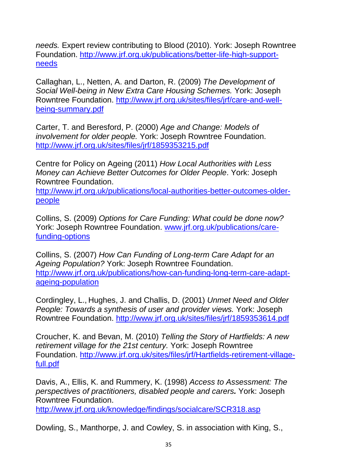*needs.* Expert review contributing to Blood (2010). York: Joseph Rowntree Foundation. [http://www.jrf.org.uk/publications/better-life-high-support](http://www.jrf.org.uk/publications/better-life-high-support-needs)[needs](http://www.jrf.org.uk/publications/better-life-high-support-needs)

Callaghan, L., Netten, A. and Darton, R. (2009) *The Development of Social Well-being in New Extra Care Housing Schemes.* York: Joseph Rowntree Foundation. [http://www.jrf.org.uk/sites/files/jrf/care-and-well](http://www.jrf.org.uk/sites/files/jrf/care-and-well-being-summary.pdf)[being-summary.pdf](http://www.jrf.org.uk/sites/files/jrf/care-and-well-being-summary.pdf)

Carter, T. and Beresford, P. (2000) *Age and Change: Models of involvement for older people.* York: Joseph Rowntree Foundation. <http://www.jrf.org.uk/sites/files/jrf/1859353215.pdf>

Centre for Policy on Ageing (2011) *How Local Authorities with Less Money can Achieve Better Outcomes for Older People*. York: Joseph Rowntree Foundation.

[http://www.jrf.org.uk/publications/local-authorities-better-outcomes-older](http://www.jrf.org.uk/publications/local-authorities-better-outcomes-older-people)[people](http://www.jrf.org.uk/publications/local-authorities-better-outcomes-older-people)

Collins, S. (2009) *Options for Care Funding: What could be done now?* York: Joseph Rowntree Foundation. [www.jrf.org.uk/publications/care](http://www.jrf.org.uk/publications/care-funding-options)[funding-options](http://www.jrf.org.uk/publications/care-funding-options)

Collins, S. (2007) *How Can Funding of Long-term Care Adapt for an Ageing Population?* York: Joseph Rowntree Foundation. [http://www.jrf.org.uk/publications/how-can-funding-long-term-care-adapt](http://www.jrf.org.uk/publications/how-can-funding-long-term-care-adapt-ageing-population)[ageing-population](http://www.jrf.org.uk/publications/how-can-funding-long-term-care-adapt-ageing-population)

Cordingley, L., Hughes, J. and Challis, D. (2001) *Unmet Need and Older People: Towards a synthesis of user and provider views.* York: Joseph Rowntree Foundation.<http://www.jrf.org.uk/sites/files/jrf/1859353614.pdf>

Croucher, K. and Bevan, M. (2010) *Telling the Story of Hartfields: A new retirement village for the 21st century.* York: Joseph Rowntree Foundation. [http://www.jrf.org.uk/sites/files/jrf/Hartfields-retirement-village](http://www.jrf.org.uk/sites/files/jrf/Hartfields-retirement-village-full.pdf)[full.pdf](http://www.jrf.org.uk/sites/files/jrf/Hartfields-retirement-village-full.pdf)

Davis, A., Ellis, K. and Rummery, K. (1998) *Access to Assessment: The perspectives of practitioners, disabled people and carers.* York: Joseph Rowntree Foundation.

<http://www.jrf.org.uk/knowledge/findings/socialcare/SCR318.asp>

Dowling, S., Manthorpe, J. and Cowley, S. in association with King, S.,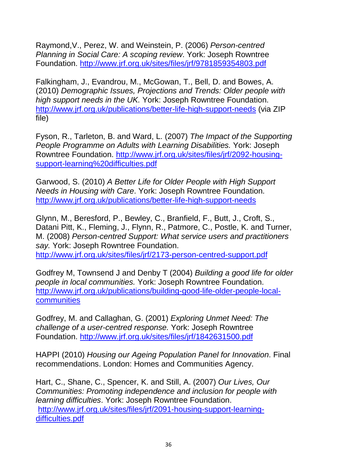Raymond,V., Perez, W. and Weinstein, P. (2006) *Person-centred Planning in Social Care: A scoping review*. York: Joseph Rowntree Foundation. <http://www.jrf.org.uk/sites/files/jrf/9781859354803.pdf>

Falkingham, J., Evandrou, M., McGowan, T., Bell, D. and Bowes, A. (2010) *Demographic Issues, Projections and Trends: Older people with high support needs in the UK.* York: Joseph Rowntree Foundation. <http://www.jrf.org.uk/publications/better-life-high-support-needs> (via ZIP file)

Fyson, R., Tarleton, B. and Ward, L. (2007) *The Impact of the Supporting People Programme on Adults with Learning Disabilities.* York: Joseph Rowntree Foundation. [http://www.jrf.org.uk/sites/files/jrf/2092-housing](http://www.jrf.org.uk/sites/files/jrf/2092-housing-support-learning%20difficulties.pdf)[support-learning%20difficulties.pdf](http://www.jrf.org.uk/sites/files/jrf/2092-housing-support-learning%20difficulties.pdf)

Garwood, S. (2010) *A Better Life for Older People with High Support Needs in Housing with Care*. York: Joseph Rowntree Foundation. <http://www.jrf.org.uk/publications/better-life-high-support-needs>

Glynn, M., Beresford, P., Bewley, C., Branfield, F., Butt, J., Croft, S., Datani Pitt, K., Fleming, J., Flynn, R., Patmore, C., Postle, K. and Turner, M. (2008) *Person-centred Support: What service users and practitioners say.* York: Joseph Rowntree Foundation. <http://www.jrf.org.uk/sites/files/jrf/2173-person-centred-support.pdf>

Godfrey M, Townsend J and Denby T (2004) *Building a good life for older people in local communities.* York: Joseph Rowntree Foundation. [http://www.jrf.org.uk/publications/building-good-life-older-people-local](http://www.jrf.org.uk/publications/building-good-life-older-people-local-communities)[communities](http://www.jrf.org.uk/publications/building-good-life-older-people-local-communities)

Godfrey, M. and Callaghan, G. (2001) *Exploring Unmet Need: The challenge of a user-centred response.* York: Joseph Rowntree Foundation.<http://www.jrf.org.uk/sites/files/jrf/1842631500.pdf>

HAPPI (2010) *Housing our Ageing Population Panel for Innovation*. Final recommendations. London: Homes and Communities Agency.

Hart, C., Shane, C., Spencer, K. and Still, A. (2007) *Our Lives, Our Communities: Promoting independence and inclusion for people with learning difficulties*. York: Joseph Rowntree Foundation. [http://www.jrf.org.uk/sites/files/jrf/2091-housing-support-learning](http://www.jrf.org.uk/sites/files/jrf/2091-housing-support-learning-difficulties.pdf)[difficulties.pdf](http://www.jrf.org.uk/sites/files/jrf/2091-housing-support-learning-difficulties.pdf)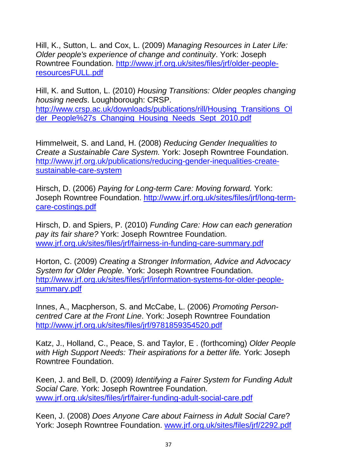Hill, K., Sutton, L. and Cox, L. (2009) *Managing Resources in Later Life: Older people's experience of change and continuity*. York: Joseph Rowntree Foundation. [http://www.jrf.org.uk/sites/files/jrf/older-people](http://www.jrf.org.uk/sites/files/jrf/older-people-resourcesFULL.pdf)[resourcesFULL.pdf](http://www.jrf.org.uk/sites/files/jrf/older-people-resourcesFULL.pdf) 

Hill, K. and Sutton, L. (2010) *Housing Transitions: Older peoples changing housing needs*. Loughborough: CRSP. [http://www.crsp.ac.uk/downloads/publications/rill/Housing\\_Transitions\\_Ol](http://www.crsp.ac.uk/downloads/publications/rill/Housing_Transitions_Older_People%27s_Changing_Housing_Needs_Sept_2010.pdf) [der\\_People%27s\\_Changing\\_Housing\\_Needs\\_Sept\\_2010.pdf](http://www.crsp.ac.uk/downloads/publications/rill/Housing_Transitions_Older_People%27s_Changing_Housing_Needs_Sept_2010.pdf)

Himmelweit, S. and Land, H. (2008) *Reducing Gender Inequalities to Create a Sustainable Care System.* York: Joseph Rowntree Foundation. [http://www.jrf.org.uk/publications/reducing-gender-inequalities-create](http://www.jrf.org.uk/publications/reducing-gender-inequalities-create-sustainable-care-system)[sustainable-care-system](http://www.jrf.org.uk/publications/reducing-gender-inequalities-create-sustainable-care-system) 

Hirsch, D. (2006) *Paying for Long-term Care: Moving forward.* York: Joseph Rowntree Foundation. [http://www.jrf.org.uk/sites/files/jrf/long-term](http://www.jrf.org.uk/sites/files/jrf/long-term-care-costings.pdf)[care-costings.pdf](http://www.jrf.org.uk/sites/files/jrf/long-term-care-costings.pdf)

Hirsch, D. and Spiers, P. (2010) *Funding Care: How can each generation pay its fair share?* York: Joseph Rowntree Foundation. [www.jrf.org.uk/sites/files/jrf/fairness-in-funding-care-summary.pdf](http://www.jrf.org.uk/sites/files/jrf/fairness-in-funding-care-summary.pdf)

Horton, C. (2009) *Creating a Stronger Information, Advice and Advocacy System for Older People.* York: Joseph Rowntree Foundation. [http://www.jrf.org.uk/sites/files/jrf/information-systems-for-older-people](http://www.jrf.org.uk/sites/files/jrf/information-systems-for-older-people-summary.pdf)[summary.pdf](http://www.jrf.org.uk/sites/files/jrf/information-systems-for-older-people-summary.pdf)

Innes, A., Macpherson, S. and McCabe, L. (2006) *Promoting Personcentred Care at the Front Line*. York: Joseph Rowntree Foundation <http://www.jrf.org.uk/sites/files/jrf/9781859354520.pdf>

Katz, J., Holland, C., Peace, S. and Taylor, E . (forthcoming) *Older People with High Support Needs: Their aspirations for a better life.* York: Joseph Rowntree Foundation.

Keen, J. and Bell, D. (2009) *Identifying a Fairer System for Funding Adult Social Care.* York: Joseph Rowntree Foundation. [www.jrf.org.uk/sites/files/jrf/fairer-funding-adult-social-care.pdf](http://www.jrf.org.uk/sites/files/jrf/fairer-funding-adult-social-care.pdf)

Keen, J. (2008) *Does Anyone Care about Fairness in Adult Social Care*? York: Joseph Rowntree Foundation. [www.jrf.org.uk/sites/files/jrf/2292.pdf](http://www.jrf.org.uk/sites/files/jrf/2292.pdf)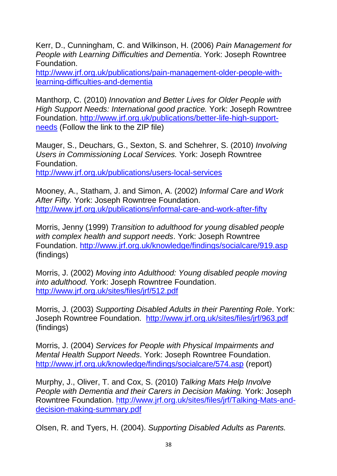Kerr, D., Cunningham, C. and Wilkinson, H. (2006) *Pain Management for People with Learning Difficulties and Dementia*. York: Joseph Rowntree Foundation.

[http://www.jrf.org.uk/publications/pain-management-older-people-with](http://www.jrf.org.uk/publications/pain-management-older-people-with-learning-difficulties-and-dementia)[learning-difficulties-and-dementia](http://www.jrf.org.uk/publications/pain-management-older-people-with-learning-difficulties-and-dementia)

Manthorp, C. (2010) *Innovation and Better Lives for Older People with High Support Needs: International good practice.* York: Joseph Rowntree Foundation. [http://www.jrf.org.uk/publications/better-life-high-support](http://www.jrf.org.uk/publications/better-life-high-support-needs)[needs](http://www.jrf.org.uk/publications/better-life-high-support-needs) (Follow the link to the ZIP file)

Mauger, S., Deuchars, G., Sexton, S. and Schehrer, S. (2010) *Involving Users in Commissioning Local Services.* York: Joseph Rowntree Foundation.

<http://www.jrf.org.uk/publications/users-local-services>

Mooney, A., Statham, J. and Simon, A. (2002) *Informal Care and Work After Fifty.* York: Joseph Rowntree Foundation. <http://www.jrf.org.uk/publications/informal-care-and-work-after-fifty>

Morris, Jenny (1999) *Transition to adulthood for young disabled people with complex health and support needs*. York: Joseph Rowntree Foundation. <http://www.jrf.org.uk/knowledge/findings/socialcare/919.asp> (findings)

Morris, J. (2002) *Moving into Adulthood: Young disabled people moving into adulthood.* York: Joseph Rowntree Foundation. <http://www.jrf.org.uk/sites/files/jrf/512.pdf>

Morris, J. (2003) *Supporting Disabled Adults in their Parenting Role*. York: Joseph Rowntree Foundation. <http://www.jrf.org.uk/sites/files/jrf/963.pdf> (findings)

Morris, J. (2004) *Services for People with Physical Impairments and Mental Health Support Needs*. York: Joseph Rowntree Foundation. <http://www.jrf.org.uk/knowledge/findings/socialcare/574.asp> (report)

Murphy, J., Oliver, T. and Cox, S. (2010) *Talking Mats Help Involve People with Dementia and their Carers in Decision Making.* York: Joseph Rowntree Foundation. [http://www.jrf.org.uk/sites/files/jrf/Talking-Mats-and](http://www.jrf.org.uk/sites/files/jrf/Talking-Mats-and-decision-making-summary.pdf)[decision-making-summary.pdf](http://www.jrf.org.uk/sites/files/jrf/Talking-Mats-and-decision-making-summary.pdf)

Olsen, R. and Tyers, H. (2004). *Supporting Disabled Adults as Parents.*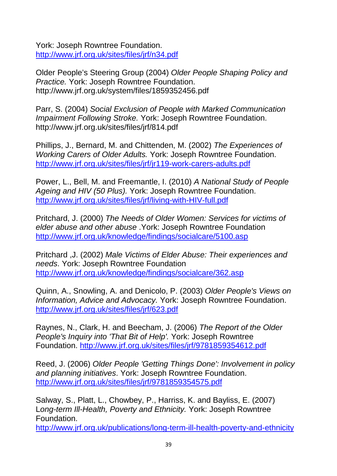York: Joseph Rowntree Foundation. <http://www.jrf.org.uk/sites/files/jrf/n34.pdf>

Older People's Steering Group (2004) *Older People Shaping Policy and Practice.* York: Joseph Rowntree Foundation. http://www.jrf.org.uk/system/files/1859352456.pdf

Parr, S. (2004) *Social Exclusion of People with Marked Communication Impairment Following Stroke.* York: Joseph Rowntree Foundation. http://www.jrf.org.uk/sites/files/jrf/814.pdf

Phillips, J., Bernard, M. and Chittenden, M. (2002) *The Experiences of Working Carers of Older Adults.* York: Joseph Rowntree Foundation. <http://www.jrf.org.uk/sites/files/jrf/jr119-work-carers-adults.pdf>

Power, L., Bell, M. and Freemantle, I. (2010) *A National Study of People Ageing and HIV (50 Plus).* York: Joseph Rowntree Foundation. <http://www.jrf.org.uk/sites/files/jrf/living-with-HIV-full.pdf>

Pritchard, J. (2000) *The Needs of Older Women: Services for victims of elder abuse and other abuse* .York: Joseph Rowntree Foundation <http://www.jrf.org.uk/knowledge/findings/socialcare/5100.asp>

Pritchard ,J. (2002) *Male Victims of Elder Abuse: Their experiences and needs*. York: Joseph Rowntree Foundation <http://www.jrf.org.uk/knowledge/findings/socialcare/362.asp>

Quinn, A., Snowling, A. and Denicolo, P. (2003) *Older People's Views on Information, Advice and Advocacy.* York: Joseph Rowntree Foundation. <http://www.jrf.org.uk/sites/files/jrf/623.pdf>

Raynes, N., Clark, H. and Beecham, J. (2006) *The Report of the Older People's Inquiry into 'That Bit of Help'.* York: Joseph Rowntree Foundation. <http://www.jrf.org.uk/sites/files/jrf/9781859354612.pdf>

Reed, J. (2006) *Older People 'Getting Things Done': Involvement in policy and planning initiatives*. York: Joseph Rowntree Foundation. <http://www.jrf.org.uk/sites/files/jrf/9781859354575.pdf>

Salway, S., Platt, L., Chowbey, P., Harriss, K. and Bayliss, E. (2007) L*ong-term Ill-Health, Poverty and Ethnicity.* York: Joseph Rowntree Foundation.

<http://www.jrf.org.uk/publications/long-term-ill-health-poverty-and-ethnicity>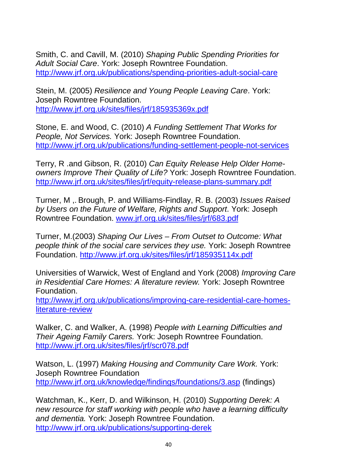Smith, C. and Cavill, M. (2010) *Shaping Public Spending Priorities for Adult Social Care*. York: Joseph Rowntree Foundation. <http://www.jrf.org.uk/publications/spending-priorities-adult-social-care>

Stein, M. (2005) *Resilience and Young People Leaving Care*. York: Joseph Rowntree Foundation. <http://www.jrf.org.uk/sites/files/jrf/185935369x.pdf>

Stone, E. and Wood, C. (2010) *A Funding Settlement That Works for People, Not Services.* York: Joseph Rowntree Foundation. <http://www.jrf.org.uk/publications/funding-settlement-people-not-services>

Terry, R .and Gibson, R. (2010) *Can Equity Release Help Older Homeowners Improve Their Quality of Life?* York: Joseph Rowntree Foundation. <http://www.jrf.org.uk/sites/files/jrf/equity-release-plans-summary.pdf>

Turner, M ,. Brough, P. and Williams-Findlay, R. B. (2003) *Issues Raised by Users on the Future of Welfare, Rights and Support*. York: Joseph Rowntree Foundation. [www.jrf.org.uk/sites/files/jrf/683.pdf](http://www.jrf.org.uk/sites/files/jrf/683.pdf)

Turner, M.(2003) *Shaping Our Lives – From Outset to Outcome: What people think of the social care services they use.* York: Joseph Rowntree Foundation.<http://www.jrf.org.uk/sites/files/jrf/185935114x.pdf>

Universities of Warwick, West of England and York (2008) *Improving Care in Residential Care Homes: A literature review.* York: Joseph Rowntree Foundation.

[http://www.jrf.org.uk/publications/improving-care-residential-care-homes](http://www.jrf.org.uk/publications/improving-care-residential-care-homes-literature-review)[literature-review](http://www.jrf.org.uk/publications/improving-care-residential-care-homes-literature-review)

Walker, C. and Walker, A. (1998) *People with Learning Difficulties and Their Ageing Family Carers.* York: Joseph Rowntree Foundation. <http://www.jrf.org.uk/sites/files/jrf/scr078.pdf>

Watson, L. (1997) *Making Housing and Community Care Work.* York: Joseph Rowntree Foundation <http://www.jrf.org.uk/knowledge/findings/foundations/3.asp> (findings)

Watchman, K., Kerr, D. and Wilkinson, H. (2010) *Supporting Derek: A new resource for staff working with people who have a learning difficulty and dementia.* York: Joseph Rowntree Foundation. <http://www.jrf.org.uk/publications/supporting-derek>